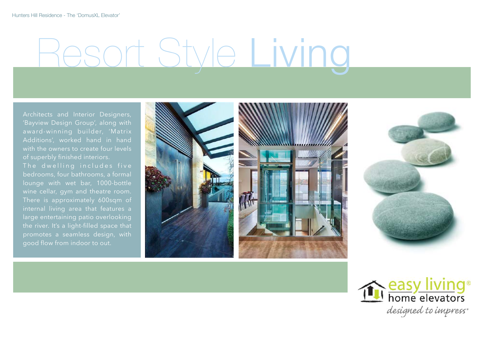# Resort Style Living

Architects and Interior Designers, 'Bayview Design Group', along with award-winning builder, 'Matrix Additions', worked hand in hand with the owners to create four levels of superbly finished interiors.

bedrooms, four bathrooms, a formal lounge with wet bar, 1000-bottle wine cellar, gym and theatre room. There is approximately 600sqm of large entertaining patio overlooking the river. It's a light-filled space that promotes a seamless design, with





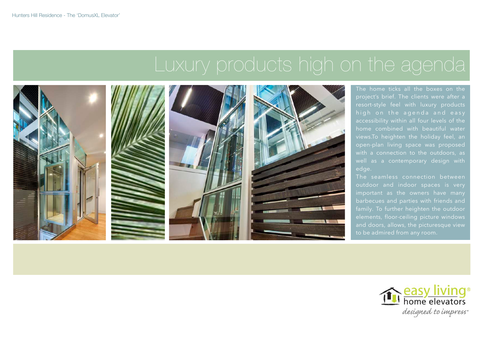## Luxury products high on the agenda



The home ticks all the boxes on the project's brief. The clients were after a accessibility within all four levels of the home combined with beautiful water edge.

The seamless connection between barbecues and parties with friends and and doors, allows, the picturesque view to be admired from any room.

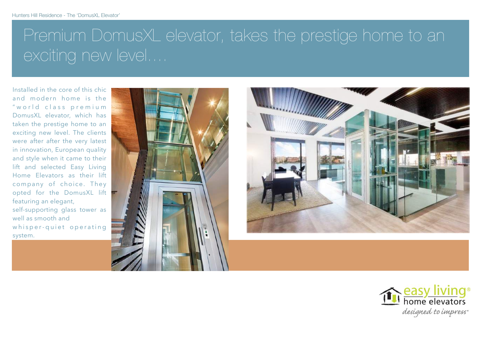## Premium DomusXL elevator, takes the prestige home to an exciting new level....

Installed in the core of this chic and modern home is the " w o r l d class premium DomusXL elevator, which has taken the prestige home to an exciting new level. The clients were after after the very latest in innovation, European quality and style when it came to their lift and selected Easy Living Home Elevators as their lift company of choice. They opted for the DomusXL lift featuring an elegant,

self-supporting glass tower as well as smooth and whisper-quiet operating system.